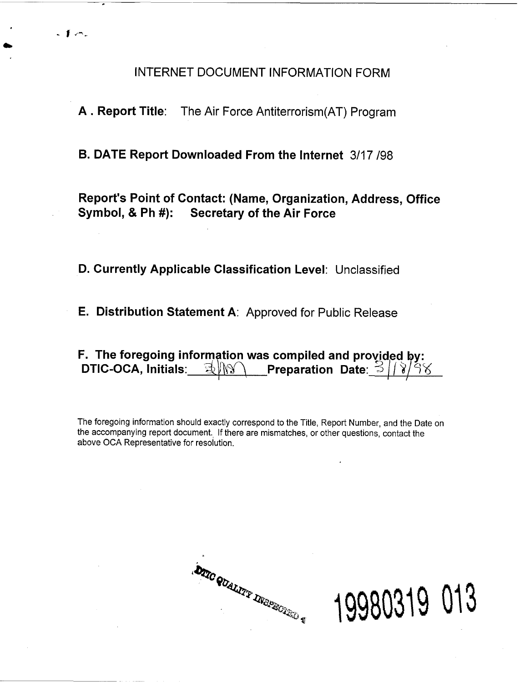INTERNET DOCUMENT INFORMATION FORM

**<sup>A</sup>**. **Report Title:** The Air Force Antiterrorism(AT) Program

**B. DATE Report Downloaded From the Internet** 3/17 198

**Report's Point of Contact: (Name, Organization, Address, Office Symbol, 8 Ph** #): **Secretary of the Air Force** 

**D. Currently Applicable Classification Level:** Unclassified

**E. Distribution Statement A:** Approved for Public Release

**F. The foregoing information was compiled and provided by:**<br>○ DTIC-OCA, Initials: ③ NN Preparation Date: ③ / / s/ s **Preparation Date:**  $\leq$ 

The foregoing information should exactly correspond to the Title, Report Number, and the Date on the accompanying report document. If there are mismatches, or other questions, contact the above OCA Representative for resolution.

**DIIC QUALITY INGPROTES &** 

19980319 013

- **1 KT-**

&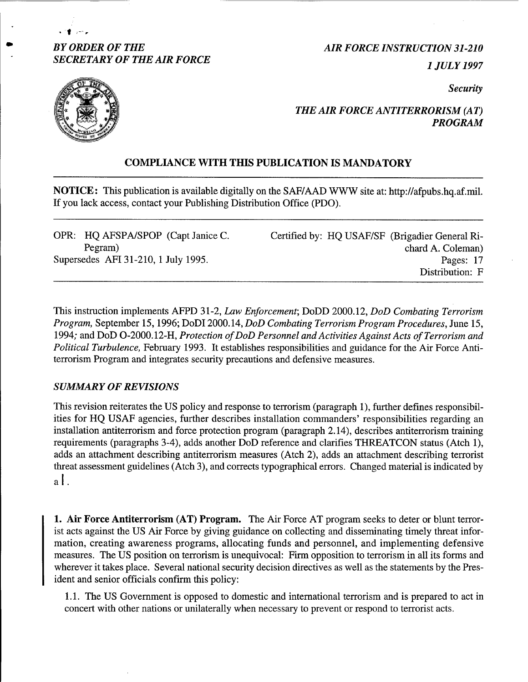# **BY ORDER OF THE AIR FORCE INSTRUCTION 31-210** *SECRETARY OF THE AIR FORCE 1 JULY 1997*

*Security* 



\* 1**1** and the

# *THE AIR FORCE ANTITERRORISM (AT) PROGRAM*

# **COMPLIANCE WITH THIS PUBLICATION IS MANDATORY**

**NOTICE**: This publication is available digitally on the SAFIAAD WWW site at: http://afpubs.hq.af.mil. If you lack access, contact your Publishing Distribution Office (PDO).

| OPR: HQ AFSPA/SPOP (Capt Janice C.  | Certified by: HQ USAF/SF (Brigadier General Ri- |
|-------------------------------------|-------------------------------------------------|
| Pegram)                             | chard A. Coleman)                               |
| Supersedes AFI 31-210, 1 July 1995. | Pages: 17                                       |
|                                     | Distribution: F                                 |

This instruction implements AFPD 31-2, **Law** *Enforcement;* DoDD 2000.12, *DoD Combating Terrorism Program,* September 15,1996; DoDI 2000.14, *DoD Combating Terrorism Program Procedures,* June 15, 1994; and DoD 0-2000.12-H, *Protection of DoD Personnel and Activities Against Acts of Terrorism and Political Turbulence,* February 1993. It establishes responsibilities and guidance for the Air Force Antiterrorism Program and integrates security precautions and defensive measures.

# *SUMMARY OF REVISIONS*

This revision reiterates the US policy and response to terrorism (paragraph I), further defines responsibilities for HQ USAF agencies, further describes installation commanders' responsibilities regarding an installation antiterrorism and force protection program (paragraph 2.14), describes antiterrorism training requirements (paragraphs 3-4), adds another DoD reference and clarifies THREATCON status (Atch I), adds an attachment describing antiterrorism measures (Atch 2), adds an attachment describing terrorist threat assessment guidelines (Atch 3), and corrects typographical errors. Changed material is indicated by al.

**1. Air Force Antiterrorism (AT) Program.** The Air Force AT program seeks to deter or blunt terrorist acts against the US Air Force by giving guidance on collecting and disseminating timely threat information, creating awareness programs, allocating funds and personnel, and implementing defensive measures. The US position on terrorism is unequivocal: Firm opposition to terrorism in all its forms and wherever it takes place. Several national security decision directives as well as the statements by the President and senior officials confirm this policy:

1.1. The US Government is opposed to domestic and international terrorism and is prepared to act in concert with other nations or unilaterally when necessary to prevent or respond to terrorist acts.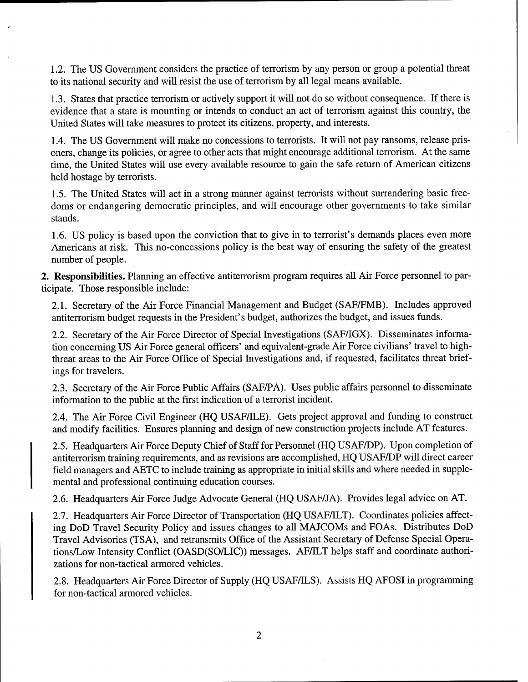1.2. The US Government considers the practice of terrorism by any person or group a potential threat to its national security and will resist the use of terrorism by all legal means available.

1.3. States that practice terrorism or actively support it will not do so without consequence. If there is evidence that a state is mounting or intends to conduct an act of terrorism against this country, the United States will take measures to protect its citizens, property, and interests.

1.4. The US Government will make no concessions to terrorists. It will not pay ransoms, release prisoners, change its policies, or agree to other acts that might encourage additional terrorism. At the same time, the United States will use every available resource to gain the safe return of American citizens held hostage by terrorists.

1.5. The United States will act in a strong manner against terrorists without surrendering basic freedoms or endangering democratic principles, and will encourage other governments to take similar stands.

1.6. US policy is based upon the conviction that to give in to terrorist's demands places even more Americans at risk. This no-concessions policy is the best way of ensuring the safety of the greatest number of people.

**2. Responsibilities.** Planning an effective antiterrorism program requires all Air Force personnel to participate. Those responsible include:

2.1. Secretary of the Air Force Financial Management and Budget (SAF/FMB). Includes approved antiterrorism budget requests in the President's budget, authorizes the budget, and issues funds.

2.2. Secretary of the Air Force Director of Special Investigations (SAFIIGX). Disseminates information concerning US Air Force general officers' and equivalent-grade Air Force civilians' travel to highthreat areas to the Air Force Office of Special Investigations and, if requested, facilitates threat briefings for travelers.

2.3. Secretary of the Air Force Public Affairs (SAFIPA). Uses public affairs personnel to disseminate information to the public at the first indication of a terrorist incident.

2.4. The Air Force Civil Engineer (HQ USAF/ILE). Gets project approval and funding to construct and modify facilities. Ensures planning and design of new construction projects include AT features.

2.5. Headquarters Air Force Deputy Chief of Staff for Personnel (HQ USAFDP). Upon completion of antiterrorism training requirements, and as revisions are accomplished, HQ USAFDP will direct career field managers and AETC to include training as appropriate in initial skills and where needed in supplemental and professional continuing education courses.

2.6. Headquarters Air Force Judge Advocate General (HQ USAFIJA). Provides legal advice on AT

2.7. Headquarters Air Force Director of Transportation (HQ USAFJILT). Coordinates policies affecting DoD Travel Security Policy and issues changes to all MAJCOMs and FOAs. Distributes DoD Travel Advisories (TSA), and retransmits Office of the Assistant Secretary of Defense Special Operations/Low Intensity Conflict (OASD(SO/LIC)) messages. AF/ILT helps staff and coordinate authorizations for non-tactical armored vehicles.

2.8. Headquarters Air Force Director of Supply (HQ USAF/ILS). Assists HQ AFOSI in programming for non-tactical armored vehicles.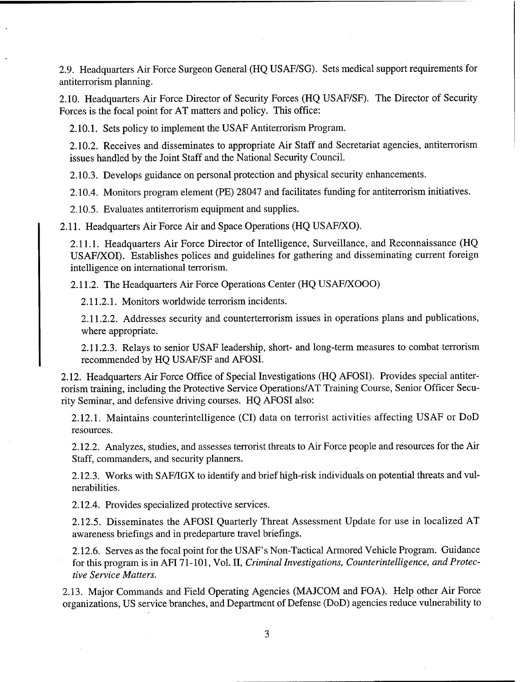2.9. Headquarters Air Force Surgeon General (HQ USAF/SG). Sets medical support requirements for antiterrorism planning.

2.10. Headquarters Air Force Director of Security Forces (HQ USAFISF). The Director of Security Forces is the focal point for AT matters and policy. This office:

2.10.1. Sets policy to implement the USAF Antiterrorism Program.

2.10.2. Receives and disseminates to appropriate Air Staff and Secretariat agencies, antiterrorism issues handled by the Joint Staff and the National Security Council.

2.10.3. Develops guidance on personal protection and physical security enhancements.

2.10.4. Monitors program element (PE) 28047 and facilitates funding for antiterrorism initiatives.

2.10.5. Evaluates antiterrorism equipment and supplies.

2.11. Headquarters Air Force Air and Space Operations (HQ USAF/XO).

2.11.1. Headquarters Air Force Director of Intelligence, Surveillance, and Reconnaissance (HQ USAFIXOI). Establishes polices and guidelines for gathering and disseminating current foreign intelligence on international terrorism.

2.11.2. The Headquarters Air Force Operations Center (HQ USAFKOOO)

2.11.2.1. Monitors worldwide terrorism incidents.

2.1 1.2.2. Addresses security and counterterrorism issues in operations plans and publications, where appropriate.

2.11.2.3. Relays to senior USAF leadership, short- and long-term measures to combat terrorism recommended by HQ USAFISF and AFOSI.

2.12. Headquarters Air Force Office of Special Investigations (HQ AFOSI). Provides special antiterrorism training, including the Protective Service Operations/AT Training Course, Senior Officer Security Seminar, and defensive driving courses. HQ AFOSI also:

2.12.1. Maintains counterintelligence (CI) data on terrorist activities affecting USAF or DoD resources.

2.12.2. Analyzes, studies, and assesses terrorist threats to Air Force people and resources for the Air Staff, commanders, and security planners.

2.12.3. Works with SAFIIGX to identify and brief high-risk individuals on potential threats and vulnerabilities.

2.12.4. Provides specialized protective services.

2.12.5. Disseminates the AFOSI Quarterly Threat Assessment Update for use in localized AT awareness briefings and in predeparture travel briefings.

2.12.6. Serves as the focal point for the USAF's Non-Tactical Armored Vehicle Program. Guidance for this program is in AFI 71-101, Vol. 11, Criminal Investigations, Counterintelligence, and Protective Service Matters.

2.13. Major Commands and Field Operating Agencies (MAJCOM and FOA). Help other Air Force organizations, US service branches, and Department of Defense (DoD) agencies reduce vulnerability to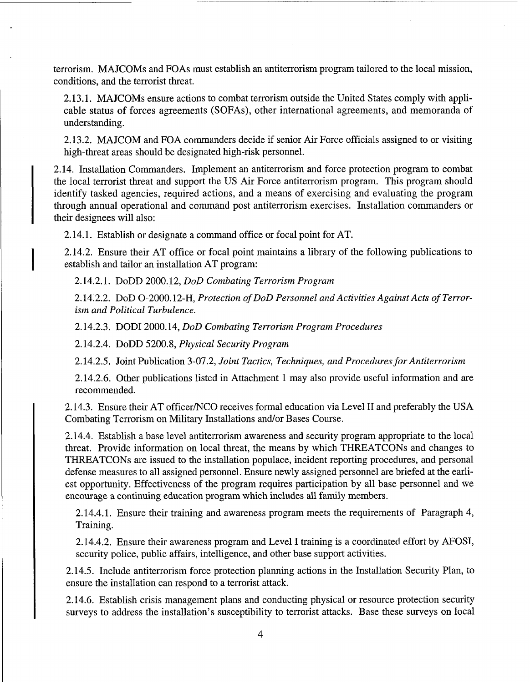terrorism. MAJCOMs and FOAs must establish an antiterrorism program tailored to the local mission, conditions, and the terrorist threat.

2.13.1. MAJCOMs ensure actions to combat terrorism outside the United States comply with applicable status of forces agreements (SOFAS), other international agreements, and memoranda of understanding.

2.13.2. MAJCOM and FOA commanders decide if senior Air Force officials assigned to or visiting high-threat areas should be designated high-risk personnel.

2.14. Installation Commanders. Implement an antiterrorism and force protection program to combat the local terrorist threat and support the US Air Force antiterrorism program. This program should identify tasked agencies, required actions, and a means of exercising and evaluating the program through annual operational and command post antiterrorism exercises. Installation commanders or their designees will also:

2.14.1. Establish or designate a command office or focal point for AT.

2.14.2. Ensure their AT office or focal point maintains a library of the following publications to establish and tailor an installation AT program:

2.14.2.1. DoDD 2000.12, *DoD Combating Terrorism Program* 

2.14.2.2. DoD 0-2000.12-H, *Protection of DoD Personnel and Activities Against Acts of Terrorism and Political Turbulence.* 

2.14.2.3. DODI 2000.14, *DoD Combating Terrorism Program Procedures* 

2.14.2.4. DoDD 5200.8, *Physical Security Program* 

2.14.2.5. Joint Publication 3-07.2, *Joint Tactics, Techniques, and Procedures for Antiterrorism* 

2.14.2.6. Other publications listed in Attachment 1 may also provide useful information and are recommended.

2.14.3. Ensure their AT officer/NCO receives formal education via Level II and preferably the USA Combating Terrorism on Military Installations and/or Bases Course.

2.14.4. Establish a base level antiterrorism awareness and security program appropriate to the local threat. Provide information on local threat, the means by which THREATCONs and changes to THREATCONs are issued to the installation populace, incident reporting procedures, and personal defense measures to all assigned personnel. Ensure newly assigned personnel are briefed at the earliest opportunity. Effectiveness of the program requires participation by all base personnel and we encourage a continuing education program which includes all family members.

2.14.4.1. Ensure their training and awareness program meets the requirements of Paragraph 4, Training.

2.14.4.2. Ensure their awareness program and Level I training is a coordinated effort by AFOSI, security police, public affairs, intelligence, and other base support activities.

2.14.5. Include antiterrorism force protection planning actions in the Installation Security Plan, to ensure the installation can respond to a terrorist attack.

2.14.6. Establish crisis management plans and conducting physical or resource protection security surveys to address the installation's susceptibility to terrorist attacks. Base these surveys on local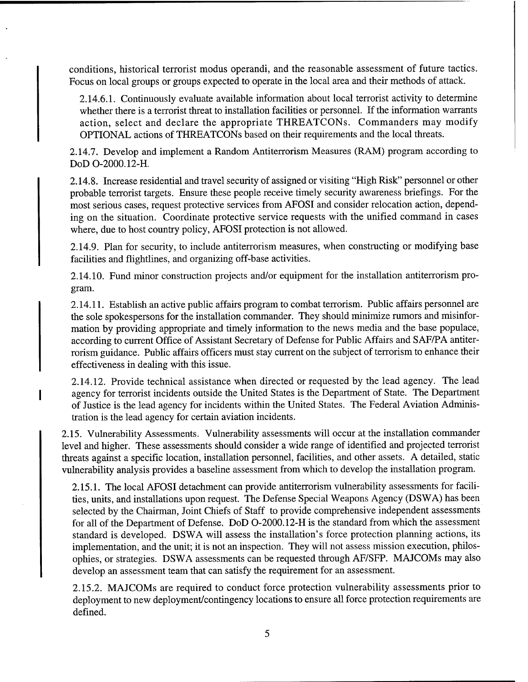conditions, historical terrorist modus operandi, and the reasonable assessment of future tactics. Focus on local groups or groups expected to operate in the local area and their methods of attack.

2.14.6.1. Continuously evaluate available information about local terrorist activity to determine whether there is a terrorist threat to installation facilities or personnel. If the information warrants action, select and declare the appropriate THREATCONs. Commanders may modify OPTIONAL actions of THREATCONs based on their requirements and the local threats.

2.14.7. Develop and implement a Random Antiterrorism Measures (RAM) program according to DoD 0-2000.12-H.

2.14.8. Increase residential and travel security of assigned or visiting "High Risk" personnel or other probable terrorist targets. Ensure these people receive timely security awareness briefings. For the most serious cases, request protective services from AFOSI and consider relocation action, depending on the situation. Coordinate protective service requests with the unified command in cases where, due to host country policy, AFOSI protection is not allowed.

2.14.9. Plan for security, to include antiterrorism measures, when constructing or modifying base facilities and flightlines, and organizing off-base activities.

2.14.10. Fund minor construction projects and/or equipment for the installation antiterrorism program.

2.14.11. Establish an active public affairs program to combat terrorism. Public affairs personnel are the sole spokespersons for the installation commander. They should minimize rumors and misinformation by providing appropriate and timely information to the news media and the base populace, according to current Office of Assistant Secretary of Defense for Public Affairs and SAF/PA antiterrorism guidance. Public affairs officers must stay current on the subject of terrorism to enhance their effectiveness in dealing with this issue.

2.14.12. Provide technical assistance when directed or requested by the lead agency. The lead agency for terrorist incidents outside the United States is the Department of State. The Department of Justice is the lead agency for incidents within the United States. The Federal Aviation Administration is the lead agency for certain aviation incidents.

2.15. Vulnerability Assessments. Vulnerability assessments will occur at the installation commander level and higher. These assessments should consider a wide range of identified and projected terrorist threats against a specific location, installation personnel, facilities, and other assets. A detailed, static vulnerability analysis provides a baseline assessment from which to develop the installation program.

2.15.1. The local AFOSI detachment can provide antiterrorism vulnerability assessments for facilities, units, and installations upon request. The Defense Special Weapons Agency (DSWA) has been selected by the Chairman, Joint Chiefs of Staff to provide comprehensive independent assessments for all of the Department of Defense. DoD 0-2000.12-H is the standard from which the assessment standard is developed. DSWA will assess the installation's force protection planning actions, its implementation, and the unit; it is not an inspection. They will not assess mission execution, philosophies, or strategies. DSWA assessments can be requested through AFISFP. MAJCOMs may also develop an assessment team that can satisfy the requirement for an assessment.

2.15.2. MAJCOMs are required to conduct force protection vulnerability assessments prior to deployment to new deployment/contingency locations to ensure all force protection requirements are defined.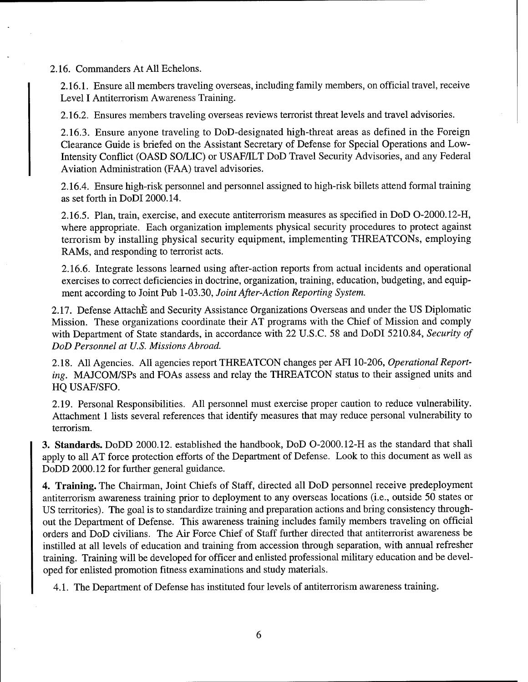2.16. Commanders At All Echelons.

2.16.1. Ensure all members traveling overseas, including family members, on official travel, receive Level I Antiterrorism Awareness Training.

2.16.2. Ensures members traveling overseas reviews terrorist threat levels and travel advisories.

2.16.3. Ensure anyone traveling to DoD-designated high-threat areas as defined in the Foreign Clearance Guide is briefed on the Assistant Secretary of Defense for Special Operations and Low-Intensity Conflict (OASD SO/LIC) or USAF/ILT DoD Travel Security Advisories, and any Federal Aviation Administration (FAA) travel advisories.

2.16.4. Ensure high-risk personnel and personnel assigned to high-risk billets attend formal training as set forth in DoDI 2000.14.

2.16.5. Plan, train, exercise, and execute antiterrorism measures as specified in DoD 0-2000.12-H, where appropriate. Each organization implements physical security procedures to protect against terrorism by installing physical security equipment, implementing THREATCONS, employing RAMS, and responding to terrorist acts.

2.16.6. Integrate lessons learned using after-action reports from actual incidents and operational exercises to correct deficiencies in doctrine, organization, training, education, budgeting, and equipment according to Joint Pub 1-03.30, *Joint After-Action Reporting System.* 

2.17. Defense Attach E and Security Assistance Organizations Overseas and under the US Diplomatic Mission. These organizations coordinate their AT programs with the Chief of Mission and comply with Department of State standards, in accordance with 22 U.S.C. 58 and DoDI 5210.84, *Security of DoD Personnel at U.S. Missions Abroad.* 

2.18. A11 Agencies. All agencies report THREATCON changes per AFI 10-206, *Operational Reporting.* MAJCOM/SPs and FOAs assess and relay the THREATCON status to their assigned units and HQ USAF/SFO.

2.19. Personal Responsibilities. All personnel must exercise proper caution to reduce vulnerability. Attachment 1 lists several references that identify measures that may reduce personal vulnerability to terrorism.

**3. Standards.** DoDD 2000.12. established the handbook, DoD 0-2000.12-H as the standard that shall apply to all AT force protection efforts of the Department of Defense. Look to this document as well as DoDD 2000.12 for further general guidance.

**4. Training.** The Chairman, Joint Chiefs of Staff, directed all DoD personnel receive predeployment antiterrorism awareness training prior to deployment to any overseas locations (i.e., outside 50 states or US territories). The goal is to standardize training and preparation actions and bring consistency throughout the Department of Defense. This awareness training includes family members traveling on official orders and DoD civilians. The Air Force Chief of Staff further directed that antiterrorist awareness be instilled at all levels of education and training from accession through separation, with annual refresher training. Training will be developed for officer and enlisted professional military education and be developed for enlisted promotion fitness examinations and study materials.

4.1. The Department of Defense has instituted four levels of antiterrorism awareness training.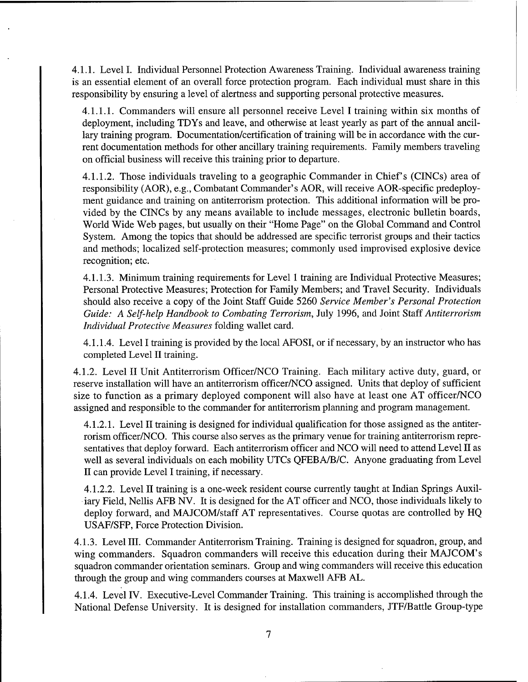4.1.1. Level I. Individual Personnel Protection Awareness Training. Individual awareness training is an essential element of an overall force protection program. Each individual must share in this responsibility by ensuring a level of alertness and supporting personal protective measures.

4.1.1.1. Commanders will ensure all personnel receive Level I training within six months of deployment, including TDYs and leave, and otherwise at least yearly as part of the annual ancillary training program. Documentation/certification of training will be in accordance with the current documentation methods for other ancillary training requirements. Family members traveling on official business will receive this training prior to departure.

4.1.1.2. Those individuals traveling to a geographic Commander in Chief's (CINCs) area of responsibility (AOR), e.g., Combatant Commander's AOR, will receive AOR-specific predeployment guidance and training on antiterrorism protection. This additional information will be provided by the CINCs by any means available to include messages, electronic bulletin boards, World Wide Web pages, but usually on their "Home Page" on the Global Command and Control System. Among the topics that should be addressed are specific terrorist groups and their tactics and methods; localized self-protection measures; commonly used improvised explosive device recognition; etc.

4.1.1.3. Minimum training requirements for Level 1 training are Individual Protective Measures; Personal Protective Measures; Protection for Family Members; and Travel Security. Individuals should also receive a copy of the Joint Staff Guide 5260 *Service Member's Personal Protection Guide: A Self-help Handbook to Combating Terrorism,* July 1996, and Joint Staff *Antiterrorism Individual Protective Measures* folding wallet card.

4.1.1.4. Level I training is provided by the local AFOSI, or if necessary, by an instructor who has completed Level I1 training.

4.1.2. Level I1 Unit Antiterrorism Officer/NCO Training. Each military active duty, guard, or reserve installation will have an antiterrorism officer/NCO assigned. Units that deploy of sufficient size to function as a primary deployed component will also have at least one AT officer/NCO assigned and responsible to the commander for antiterrorism planning and program management.

4.1.2.1. Level I1 training is designed for individual qualification for those assigned as the antiterrorism officer/NCO. This course also serves as the primary venue for training antiterrorism representatives that deploy forward. Each antiterrorism officer and NCO will need to attend Level I1 as well as several individuals on each mobility UTCs QFEBA/B/C. Anyone graduating from Level I1 can provide Level I training, if necessary.

4.1.2.2. Level I1 training is a one-week resident course currently taught at Indian Springs Auxiliary Field, Nellis AFB NV. It is designed for the AT officer and NCO, those individuals likely to deploy forward, and MAJCOM/staff AT representatives. Course quotas are controlled by HQ USAFISFP, Force Protection Division.

4.1.3. Level 111. Commander Antiterrorism Training. Training is designed for squadron, group, and wing commanders. Squadron commanders will receive this education during their MAJCOM's squadron commander orientation seminars. Group and wing commanders will receive this education through the group and wing commanders courses at Maxwell AFB AL.

4.1.4. Level IV. Executive-Level Commander Training. This training is accomplished through the National Defense University. It is designed for installation commanders, JTF/Battle Group-type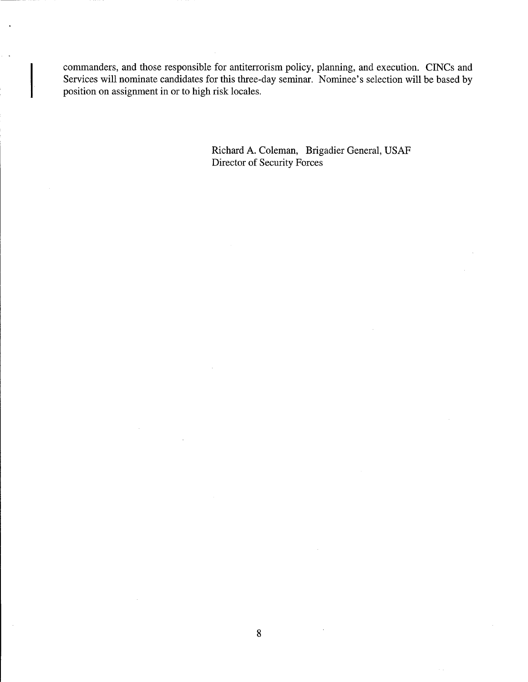commanders, and those responsible for antiterrorism policy, planning, and execution. CINCs and Services will nominate candidates for this three-day seminar. Nominee's selection will be based by position on assignment in or to high risk locales.

> Richard **A.** Coleman, Brigadier General, USAF Director of Security Forces

 $\sim$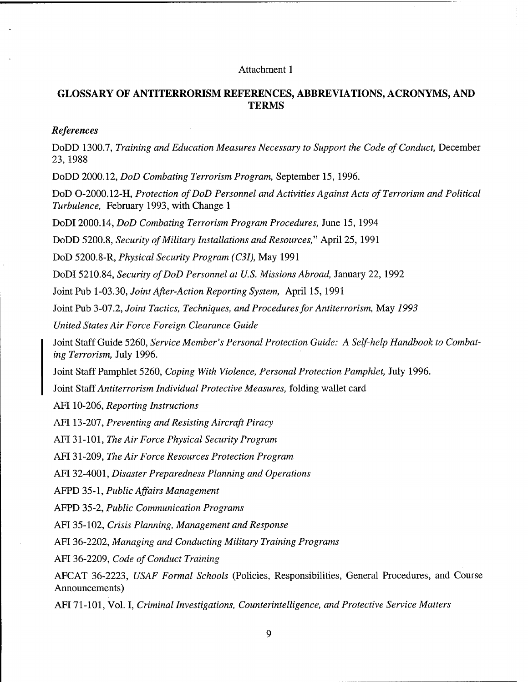#### Attachment 1

# **GLOSSARY OF ANTITERRORISM REFERENCES, ABBREVIATIONS, ACRONYMS, AND TERMS**

#### References

DoDD *1300.7, Training and Education Measures Necessary to Support the Code of Conduct,* December *23,1988* 

DoDD *2000.12, DoD Combating Terrorism Program,* September *15, 1996.* 

DoD *0-2000.12-H, Protection of DoD Personnel and Activities Against Acts of Terrorism and Political Turbulence,* February *1993,* with Change *1* 

DoDI *2000.14, DoD Combating Terrorism Program Procedures,* June *15, 1994* 

DoDD *5200.8, Security of Military Installations and Resources,"* April *25, 1991* 

DoD *5200.8-R, Physical Security Program (C31),* May *1991* 

DoDI *5210.84, Security of DoD Personnel at U.S. Missions Abroad,* January *22, 1992* 

Joint Pub *1-03.30, Joint After-Action Reporting System,* April *15, 1991* 

Joint Pub *3-07.2, Joint Tactics, Techniques, and Procedures for Antiterrorism,* May *1993* 

*United States Air Force Foreign Clearance Guide* 

Joint Staff Guide *5260, Service Member's Personal Protection Guide: A Self-help Handbook to Combating Terrorism,* July *1996.* 

Joint Staff Pamphlet *5260, Coping With Violence, Personal Protection Pamphlet,* July *1996.* 

I Joint Staff *Antiterrorism Individual Protective Measures,* folding wallet card

AFI *10-206, Reporting Instructions* 

AFI *13-207, Preventing and Resisting Aircraft Piracy* 

AFI *3 1-101, The Air Force Physical Security Program* 

AFI *31-209, The Air Force Resources Protection Program* 

AFI *32-4001, Disaster Preparedness Planning and Operations* 

AFPD *35-1, Public Afairs Management* 

AFPD *35-2, Public Communication Programs* 

AFI *35-102, Crisis Planning, Management and Response* 

AFI *36-2202, Managing and Conducting Military Training Programs* 

AFI *36-2209, Code of Conduct Training* 

AFCAT *36-2223, USAF Formal Schools* (Policies, Responsibilities, General Procedures, and Course Announcements)

AFI *7 1* -*101,* Vol. *I, Criminal Investigations, Counterintelligence, and Protective Service Matters*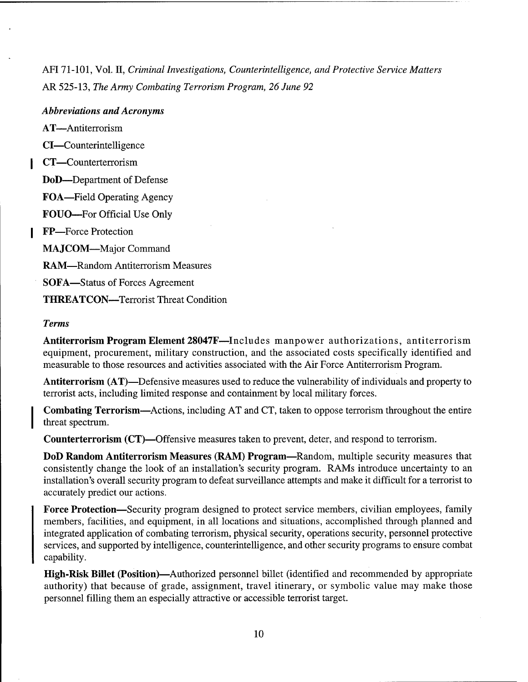AFI 71-101, Vol. 11, *Criminal Investigations, Counterintelligence, and Protective Service Matters*  AR 525-13, *The Army Combating Terrorism Program, 26 June 92* 

# *Abbreviations and Acronyms*

AT-Antiterrorism

CI-Counterintelligence

CT-Counterterrorism

DoD-Department of Defense

FOA-Field Operating Agency

FOUO-For Official Use Only

FP-Force Protection

MAJCOM-Major Command

RAM-Random Antiterrorism Measures

SOFA-Status of Forces Agreement

THREATCON—Terrorist Threat Condition

# *Terms*

Antiterrorism Program Element 28047F-Includes manpower authorizations, antiterrorism equipment, procurement, military construction, and the associated costs specifically identified and measurable to those resources and activities associated with the Air Force Antiterrorism Program.

Antiterrorism (AT)—Defensive measures used to reduce the vulnerability of individuals and property to terrorist acts, including limited response and containment by local military forces.

Combating Terrorism-Actions, including AT and CT, taken to oppose terrorism throughout the entire threat spectrum.

Counterterrorism (CT)-Offensive measures taken to prevent, deter, and respond to terrorism.

DoD Random Antiterrorism Measures (RAM) Program-Random, multiple security measures that consistently change the look of an installation's security program. RAMS introduce uncertainty to an installation's overall security program to defeat surveillance attempts and make it difficult for a terrorist to accurately predict our actions.

Force Protection-Security program designed to protect service members, civilian employees, family members, facilities, and equipment, in all locations and situations, accomplished through planned and integrated application of combating terrorism, physical security, operations security, personnel protective services, and supported by intelligence, counterintelligence, and other security programs to ensure combat capability.

High-Risk Billet (Position)-Authorized personnel billet (identified and recommended by appropriate authority) that because of grade, assignment, travel itinerary, or symbolic value may make those personnel filling them an especially attractive or accessible terrorist target.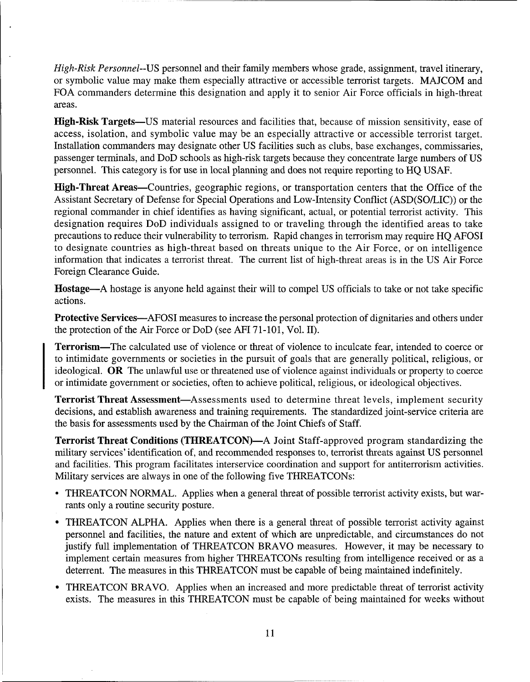High-Risk Personnel--US personnel and their family members whose grade, assignment, travel itinerary, or symbolic value may make them especially attractive or accessible terrorist targets. MAJCOM and FOA commanders determine this designation and apply it to senior Air Force officials in high-threat areas.

High-Risk Targets—US material resources and facilities that, because of mission sensitivity, ease of access, isolation, and symbolic value may be an especially attractive or accessible terrorist target. Installation commanders may designate other US facilities such as clubs, base exchanges, commissaries, passenger terminals, and DoD schools as high-risk targets because they concentrate large numbers of US personnel. This category is for use in local planning and does not require reporting to HQ USAF.

High-Threat Areas-Countries, geographic regions, or transportation centers that the Office of the Assistant Secretary of Defense for Special Operations and Low-Intensity Conflict (ASD(SO/LIC)) or the regional commander in chief identifies as having significant, actual, or potential terrorist activity. This designation requires DoD individuals assigned to or traveling through the identified areas to take precautions to reduce their vulnerability to terrorism. Rapid changes in terrorism may require HQ AFOSI to designate countries as high-threat based on threats unique to the Air Force, or on intelligence information that indicates a terrorist threat. The current list of high-threat areas is in the US Air Force Foreign Clearance Guide.

Hostage-A hostage is anyone held against their will to compel US officials to take or not take specific actions.

Protective Services—AFOSI measures to increase the personal protection of dignitaries and others under the protection of the Air Force or DoD (see AFI 71-101, Vol. 11).

Terrorism-The calculated use of violence or threat of violence to inculcate fear, intended to coerce or to intimidate governments or societies in the pursuit of goals that are generally political, religious, or ideological. OR The unlawful use or threatened use of violence against individuals or property to coerce or intimidate government or societies, often to achieve political, religious, or ideological objectives.

Terrorist Threat Assessment-Assessments used to determine threat levels, implement security decisions, and establish awareness and training requirements. The standardized joint-service criteria are the basis for assessments used by the Chairman of the Joint Chiefs of Staff.

Terrorist Threat Conditions (THREATCON)-A Joint Staff-approved program standardizing the military services' identification of, and recommended responses to, terrorist threats against US personnel and facilities. This program facilitates interservice coordination and support for antiterrorism activities. Military services are always in one of the following five THREATCONs:

- THREATCON NORMAL. Applies when a general threat of possible terrorist activity exists, but warrants only a routine security posture.
- THREATCON ALPHA. Applies when there is a general threat of possible terrorist activity against personnel and facilities, the nature and extent of which are unpredictable, and circumstances do not justify full implementation of THREATCON BRAVO measures. However, it may be necessary to implement certain measures from higher THREATCONs resulting from intelligence received or as a deterrent. The measures in this THREATCON must be capable of being maintained indefinitely.
- THREATCON BRAVO. Applies when an increased and more predictable threat of terrorist activity exists. The measures in this THREATCON must be capable of being maintained for weeks without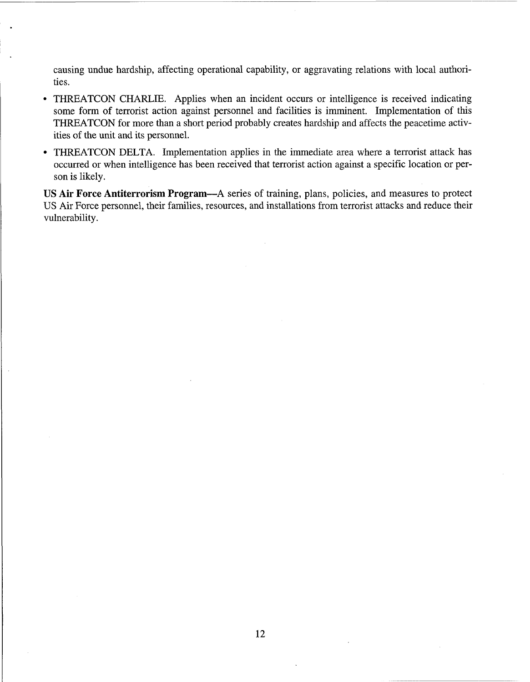causing undue hardship, affecting operational capability, or aggravating relations with local authorities.

- THREATCON CHARLIE. Applies when an incident occurs or intelligence is received indicating  $\bullet$ some form of terrorist action against personnel and facilities is imminent. Implementation of this THREATCON for more than a short period probably creates hardship and affects the peacetime activities of the unit and its personnel.
- THREATCON DELTA. Implementation applies in the immediate area where a terrorist attack has occurred or when intelligence has been received that terrorist action against a specific location or person is likely.

US Air Force Antiterrorism Program-A series of training, plans, policies, and measures to protect US Air Force personnel, their families, resources, and installations from terrorist attacks and reduce their vulnerability.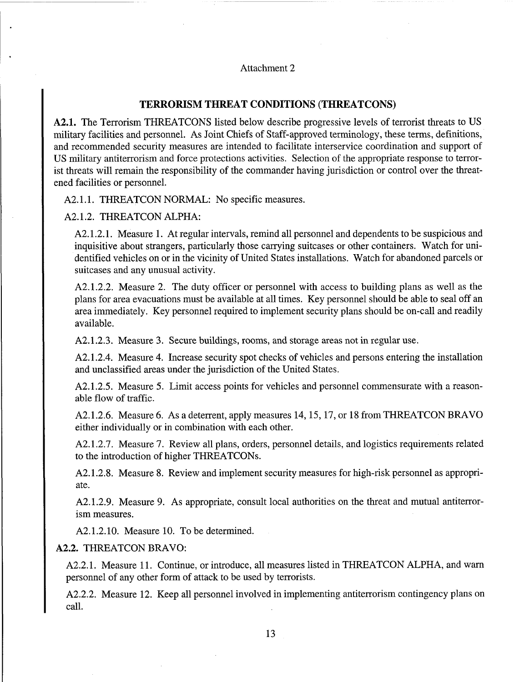#### Attachment 2

### **TERRORISM THREAT CONDITIONS (THREATCONS)**

**A2.1.** The Terrorism THREATCONS listed below describe progressive levels of terrorist threats to US military facilities and personnel. As Joint Chiefs of Staff-approved terminology, these terms, definitions, and recommended security measures are intended to facilitate interservice coordination and support of US military antiterrorism and force protections activities. Selection of the appropriate response to terrorist threats will remain the responsibility of the commander having jurisdiction or control over the threatened facilities or personnel.

A2.1.1. THREATCON NORMAL: No specific measures.

A2.1.2. THREATCON ALPHA:

A2.1.2.1. Measure 1. At regular intervals, remind all personnel and dependents to be suspicious and inquisitive about strangers, particularly those carrying suitcases or other containers. Watch for unidentified vehicles on or in the vicinity of United States installations. Watch for abandoned parcels or suitcases and any unusual activity.

A2.1.2.2. Measure 2. The duty officer or personnel with access to building plans as well as the plans for area evacuations must be available at all times. Key personnel should be able to seal off an area immediately. Key personnel required to implement security plans should be on-call and readily available.

A2.1.2.3. Measure 3. Secure buildings, rooms, and storage areas not in regular use.

A2.1.2.4. Measure 4. Increase security spot checks of vehicles and persons entering the installation and unclassified areas under the jurisdiction of the United States.

A2.1.2.5. Measure 5. Limit access points for vehicles and personnel commensurate with a reasonable flow of traffic.

A2.1.2.6. Measure 6. As a deterrent, apply measures 14,15,17, or 18 from THREATCON BRAVO either individually or in combination with each other.

A2.1.2.7. Measure 7. Review all plans, orders, personnel details, and logistics requirements related to the introduction of higher THREATCONs.

A2.1.2.8. Measure 8. Review and implement security measures for high-risk personnel as appropriate.

A2.1.2.9. Measure 9. As appropriate, consult local authorities on the threat and mutual antiterrorism measures.

A2.1.2.10. Measure 10. To be determined.

#### **A2.2.** THREATCON BRAVO:

A2.2.1. Measure 11. Continue, or introduce, all measures listed in THREATCON ALPHA, and warn personnel of any other form of attack to be used by terrorists.

A2.2.2. Measure 12. Keep all personnel involved in implementing antiterrorism contingency plans on call.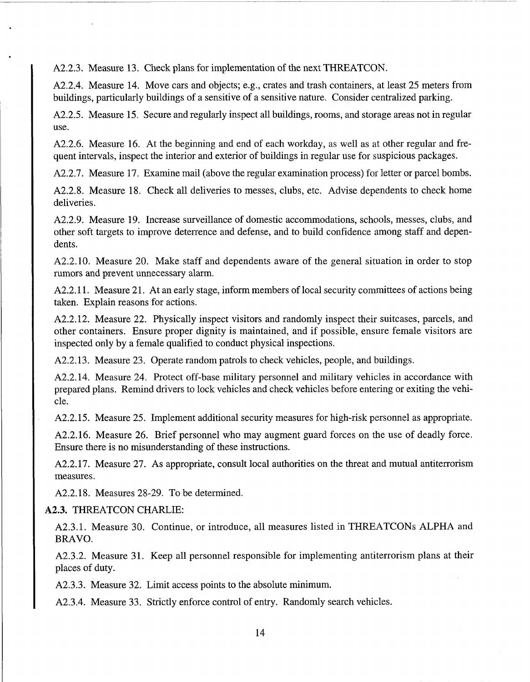A2.2.3. Measure 13. Check plans for implementation of the next THREATCON.

A2.2.4. Measure 14. Move cars and objects; e.g., crates and trash containers, at least 25 meters from buildings, particularly buildings of a sensitive of a sensitive nature. Consider centralized parking,

A2.2.5. Measure 15. Secure and regularly inspect all buildings, rooms, and storage areas not in regular use.

A2.2.6. Measure 16. At the beginning and end of each workday, as well as at other regular and frequent intervals, inspect the interior and exterior of buildings in regular use for suspicious packages.

A2.2.7. Measure 17. Examine mail (above the regular examination process) for letter or parcel bombs.

A2.2.8. Measure 18. Check all deliveries to messes, clubs, etc. Advise dependents to check home deliveries.

A2.2.9. Measure 19. Increase surveillance of domestic accommodations, schools, messes, clubs, and other soft targets to improve deterrence and defense, and to build confidence among staff and dependents.

A2.2.10. Measure 20. Make staff and dependents aware of the general situation in order to stop rumors and prevent unnecessary alarm.

A2.2.11. Measure 21. At an early stage, inform members of local security committees of actions being taken. Explain reasons for actions.

A2.2.12. Measure 22. Physically inspect visitors and randomly inspect their suitcases, parcels, and other containers. Ensure proper dignity is maintained, and if possible, ensure female visitors are inspected only by a female qualified to conduct physical inspections.

A2.2.13. Measure 23. Operate random patrols to check vehicles, people, and buildings.

A2.2.14. Measure 24. Protect off-base military personnel and military vehicles in accordance with prepared plans. Remind drivers to lock vehicles and check vehicles before entering or exiting the vehicle.

A2.2.15. Measure 25. Implement additional security measures for high-risk personnel as appropriate.

A2.2.16. Measure 26. Brief personnel who may augment guard forces on the use of deadly force. Ensure there is no misunderstanding of these instructions.

A2.2.17. Measure 27. As appropriate, consult local authorities on the threat and mutual antiterrorism measures.

A2.2.18. Measures 28-29. To be determined.

# **A2.3.** THREATCON CHARLIE:

A2.3.l. Measure 30. Continue, or introduce, all measures listed in THREATCONs ALPHA and BRAVO.

A2.3.2. Measure 31. Keep all personnel responsible for implementing antiterrorism plans at their places of duty.

A2.3.3. Measure 32. Limit access points to the absolute minimum.

A2.3.4. Measure 33. Strictly enforce control of entry. Randomly search vehicles.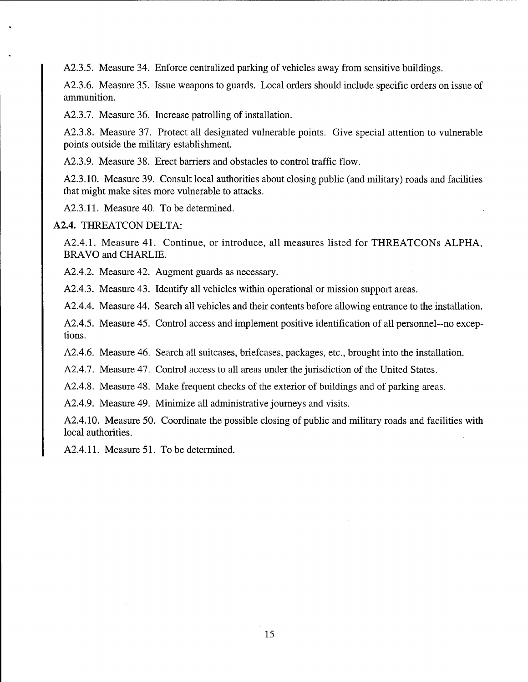A2.3.5. Measure 34. Enforce centralized parking of vehicles away from sensitive buildings.

A2.3.6. Measure 35. Issue weapons to guards. Local orders should include specific orders on issue of ammunition.

A2.3.7. Measure 36. Increase patrolling of installation.

A2.3.8. Measure 37. Protect all designated vulnerable points. Give special attention to vulnerable points outside the military establishment.

A2.3.9. Measure 38. Erect barriers and obstacles to control traffic flow.

A2.3.10. Measure 39. Consult local authorities about closing public (and military) roads and facilities that might make sites more vulnerable to attacks.

A2.3.11. Measure 40. To be determined.

#### **A2.4.** THREATCON DELTA:

A2.4.1. Measure 41. Continue, or introduce, all measures listed for THREATCONs ALPHA, BRAVO and CHARLIE.

A2.4.2. Measure 42. Augment guards as necessary.

A2.4.3. Measure 43. Identify all vehicles within operational or mission support areas.

A2.4.4. Measure 44. Search all vehicles and their contents before allowing entrance to the installation.

A2.4.5. Measure 45. Control access and implement positive identification of all personnel--no excep tions.

A2.4.6. Measure 46. Search all suitcases, briefcases, packages, etc., brought into the installation.

A2.4.7. Measure 47. Control access to all areas under the jurisdiction of the United States.

A2.4.8. Measure 48. Make frequent checks of the exterior of buildings and of parking areas.

A2.4.9. Measure 49. Minimize all administrative journeys and visits.

A2.4.10. Measure 50. Coordinate the possible closing of public and military roads and facilities with local authorities.

A2.4.11. Measure 51. To be determined.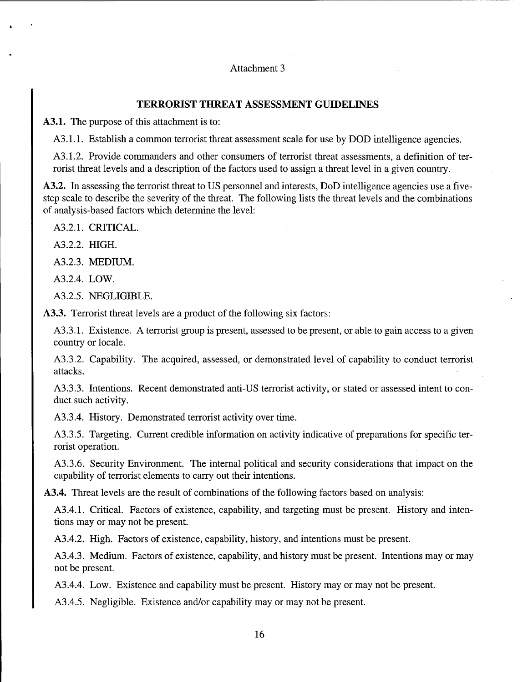# Attachment 3

# **TERRORIST THREAT ASSESSMENT GUIDELINES**

**A3.1.** The purpose of this attachment is to:

A3.1.1. Establish a common terrorist threat assessment scale for use by DOD intelligence agencies.

A3.1.2. Provide commanders and other consumers of terrorist threat assessments, a definition of ter rorist threat levels and a description of the factors used to assign a threat level in a given country.

**A3.2.** In assessing the terrorist threat to US personnel and interests, DoD intelligence agencies use a five step scale to describe the severity of the threat. The following lists the threat levels and the combinations of analysis-based factors which determine the level:

A3.2.1. CRITICAL.

A3.2.2. HIGH.

A3.2.3. MEDIUM.

A3.2.4. LOW.

A3.2.5. NEGLIGIBLE.

**A3.3.** Terrorist threat levels are a product of the following six factors:

A3.3.1. Existence. A terrorist group is present, assessed to be present, or able to gain access to a given country or locale.

A3.3.2. Capability. The acquired, assessed, or demonstrated level of capability to conduct terrorist attacks.

A3.3.3. Intentions. Recent demonstrated anti-US terrorist activity, or stated or assessed intent to con duct such activity.

A3.3.4. History. Demonstrated terrorist activity over time.

A3.3.5. Targeting. Current credible information on activity indicative of preparations for specific ter rorist operation.

A3.3.6. Security Environment. The internal political and security considerations that impact on the capability of terrorist elements to carry out their intentions.

**A3.4.** Threat levels are the result of combinations of the following factors based on analysis:

A3.4.1. Critical. Factors of existence, capability, and targeting must be present. History and inten tions may or may not be present.

A3.4.2. High. Factors of existence, capability, history, and intentions must be present.

A3.4.3. Medium. Factors of existence, capability, and history must be present. Intentions may or may not be present.

A3.4.4. Low. Existence and capability must be present. History may or may not be present.

A3.4.5. Negligible. Existence and/or capability may or may not be present.